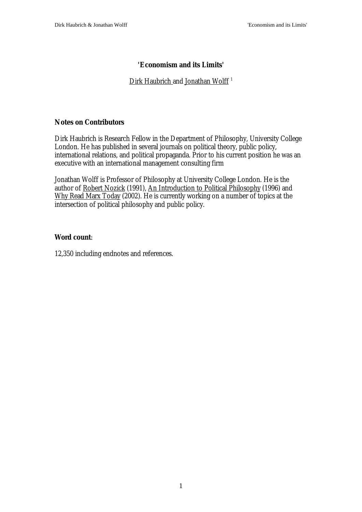# **'Economism and its Limits'**

# Dirk Haubrich and Jonathan Wolff<sup>1</sup>

**Notes on Contributors**

Dirk Haubrich is Research Fellow in the Department of Philosophy, University College London. He has published in several journals on political theory, public policy, international relations, and political propaganda. Prior to his current position he was an executive with an international management consulting firm

Jonathan Wolff is Professor of Philosophy at University College London. He is the author of Robert Nozick (1991), An Introduction to Political Philosophy (1996) and Why Read Marx Today (2002). He is currently working on a number of topics at the intersection of political philosophy and public policy.

**Word count**:

12,350 including endnotes and references.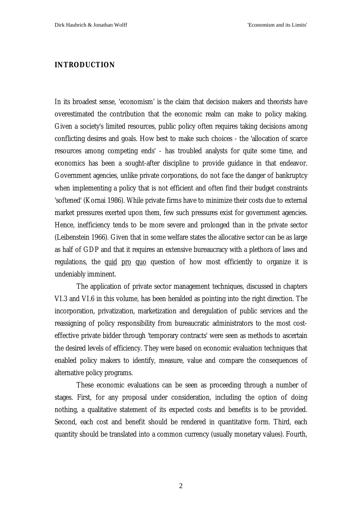### **INTRODUCTION**

In its broadest sense, 'economism' is the claim that decision makers and theorists have overestimated the contribution that the economic realm can make to policy making. Given a society's limited resources, public policy often requires taking decisions among conflicting desires and goals. How best to make such choices - the 'allocation of scarce resources among competing ends' - has troubled analysts for quite some time, and economics has been a sought-after discipline to provide guidance in that endeavor. Government agencies, unlike private corporations, do not face the danger of bankruptcy when implementing a policy that is not efficient and often find their budget constraints 'softened' (Kornai 1986). While private firms have to minimize their costs due to external market pressures exerted upon them, few such pressures exist for government agencies. Hence, inefficiency tends to be more severe and prolonged than in the private sector (Leibenstein 1966)*.* Given that in some welfare states the allocative sector can be as large as half of GDP and that it requires an extensive bureaucracy with a plethora of laws and regulations, the quid pro quo question of how most efficiently to organize it is undeniably imminent.

The application of private sector management techniques, discussed in chapters VI.3 and VI.6 in this volume, has been heralded as pointing into the right direction. The incorporation, privatization, marketization and deregulation of public services and the reassigning of policy responsibility from bureaucratic administrators to the most costeffective private bidder through 'temporary contracts' were seen as methods to ascertain the desired levels of efficiency. They were based on economic evaluation techniques that enabled policy makers to identify, measure, value and compare the consequences of alternative policy programs.

These economic evaluations can be seen as proceeding through a number of stages. First, for any proposal under consideration, including the option of doing nothing, a qualitative statement of its expected costs and benefits is to be provided. Second, each cost and benefit should be rendered in quantitative form. Third, each quantity should be translated into a common currency (usually monetary values). Fourth,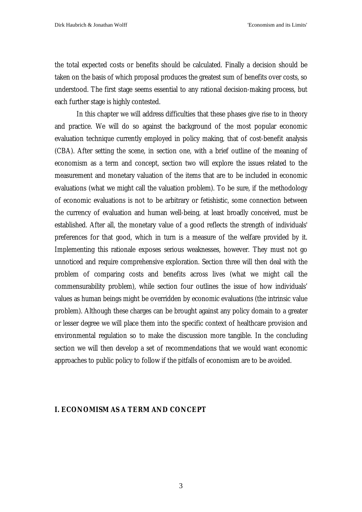the total expected costs or benefits should be calculated. Finally a decision should be taken on the basis of which proposal produces the greatest sum of benefits over costs, so understood. The first stage seems essential to any rational decision-making process, but each further stage is highly contested.

In this chapter we will address difficulties that these phases give rise to in theory and practice. We will do so against the background of the most popular economic evaluation technique currently employed in policy making, that of cost-benefit analysis (CBA). After setting the scene, in section one, with a brief outline of the meaning of economism as a term and concept, section two will explore the issues related to the measurement and monetary valuation of the items that are to be included in economic evaluations (what we might call the valuation problem). To be sure, if the methodology of economic evaluations is not to be arbitrary or fetishistic, some connection between the currency of evaluation and human well-being, at least broadly conceived, must be established. After all, the monetary value of a good reflects the strength of individuals' preferences for that good, which in turn is a measure of the welfare provided by it. Implementing this rationale exposes serious weaknesses, however. They must not go unnoticed and require comprehensive exploration. Section three will then deal with the problem of comparing costs and benefits across lives (what we might call the commensurability problem), while section four outlines the issue of how individuals' values as human beings might be overridden by economic evaluations (the intrinsic value problem). Although these charges can be brought against any policy domain to a greater or lesser degree we will place them into the specific context of healthcare provision and environmental regulation so to make the discussion more tangible. In the concluding section we will then develop a set of recommendations that we would want economic approaches to public policy to follow if the pitfalls of economism are to be avoided.

### **I. ECONOMISM AS A TERM AND CONCEPT**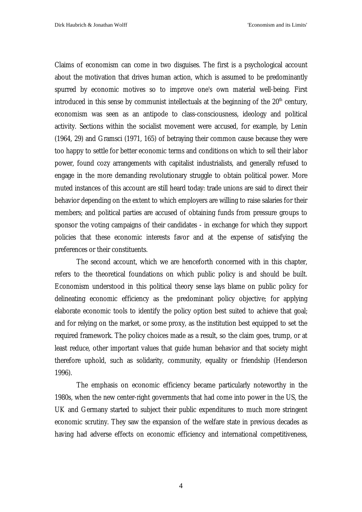Claims of economism can come in two disguises. The first is a psychological account about the motivation that drives human action, which is assumed to be predominantly spurred by economic motives so to improve one's own material well-being. First introduced in this sense by communist intellectuals at the beginning of the  $20<sup>th</sup>$  century, economism was seen as an antipode to class-consciousness, ideology and political activity. Sections within the socialist movement were accused, for example, by Lenin (1964, 29) and Gramsci (1971, 165) of betraying their common cause because they were too happy to settle for better economic terms and conditions on which to sell their labor power, found cozy arrangements with capitalist industrialists, and generally refused to engage in the more demanding revolutionary struggle to obtain political power. More muted instances of this account are still heard today: trade unions are said to direct their behavior depending on the extent to which employers are willing to raise salaries for their members; and political parties are accused of obtaining funds from pressure groups to sponsor the voting campaigns of their candidates - in exchange for which they support policies that these economic interests favor and at the expense of satisfying the preferences or their constituents.

The second account, which we are henceforth concerned with in this chapter, refers to the theoretical foundations on which public policy is and should be built. Economism understood in this political theory sense lays blame on public policy for delineating economic efficiency as the predominant policy objective; for applying elaborate economic tools to identify the policy option best suited to achieve that goal; and for relying on the market, or some proxy, as the institution best equipped to set the required framework. The policy choices made as a result, so the claim goes, trump, or at least reduce, other important values that guide human behavior and that society might therefore uphold, such as solidarity, community, equality or friendship (Henderson 1996).

The emphasis on economic efficiency became particularly noteworthy in the 1980s, when the new center-right governments that had come into power in the US, the UK and Germany started to subject their public expenditures to much more stringent economic scrutiny. They saw the expansion of the welfare state in previous decades as having had adverse effects on economic efficiency and international competitiveness,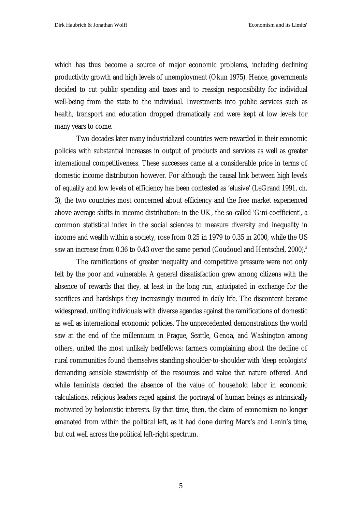which has thus become a source of major economic problems, including declining productivity growth and high levels of unemployment (Okun 1975). Hence, governments decided to cut public spending and taxes and to reassign responsibility for individual well-being from the state to the individual. Investments into public services such as health, transport and education dropped dramatically and were kept at low levels for many years to come.

Two decades later many industrialized countries were rewarded in their economic policies with substantial increases in output of products and services as well as greater international competitiveness. These successes came at a considerable price in terms of domestic income distribution however. For although the causal link between high levels of equality and low levels of efficiency has been contested as 'elusive' (LeGrand 1991, ch. 3), the two countries most concerned about efficiency and the free market experienced above average shifts in income distribution: in the UK, the so-called 'Gini-coefficient', a common statistical index in the social sciences to measure diversity and inequality in income and wealth within a society, rose from 0.25 in 1979 to 0.35 in 2000, while the US saw an increase from 0.36 to 0.43 over the same period (Coudouel and Hentschel, 2000).<sup>2</sup>

The ramifications of greater inequality and competitive pressure were not only felt by the poor and vulnerable. A general dissatisfaction grew among citizens with the absence of rewards that they, at least in the long run, anticipated in exchange for the sacrifices and hardships they increasingly incurred in daily life. The discontent became widespread, uniting individuals with diverse agendas against the ramifications of domestic as well as international economic policies. The unprecedented demonstrations the world saw at the end of the millennium in Prague, Seattle, Genoa, and Washington among others, united the most unlikely bedfellows: farmers complaining about the decline of rural communities found themselves standing shoulder-to-shoulder with 'deep ecologists' demanding sensible stewardship of the resources and value that nature offered. And while feminists decried the absence of the value of household labor in economic calculations, religious leaders raged against the portrayal of human beings as intrinsically motivated by hedonistic interests. By that time, then, the claim of economism no longer emanated from within the political left, as it had done during Marx's and Lenin's time, but cut well across the political left-right spectrum.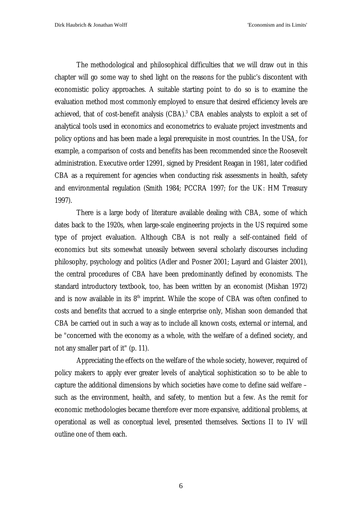The methodological and philosophical difficulties that we will draw out in this chapter will go some way to shed light on the reasons for the public's discontent with economistic policy approaches. A suitable starting point to do so is to examine the evaluation method most commonly employed to ensure that desired efficiency levels are achieved, that of cost-benefit analysis (CBA).<sup>3</sup> CBA enables analysts to exploit a set of analytical tools used in economics and econometrics to evaluate project investments and policy options and has been made a legal prerequisite in most countries. In the USA, for example, a comparison of costs and benefits has been recommended since the Roosevelt administration. Executive order 12991, signed by President Reagan in 1981, later codified CBA as a requirement for agencies when conducting risk assessments in health, safety and environmental regulation (Smith 1984; PCCRA 1997; for the UK: HM Treasury 1997).

There is a large body of literature available dealing with CBA, some of which dates back to the 1920s, when large-scale engineering projects in the US required some type of project evaluation. Although CBA is not really a self-contained field of economics but sits somewhat uneasily between several scholarly discourses including philosophy, psychology and politics (Adler and Posner 2001; Layard and Glaister 2001), the central procedures of CBA have been predominantly defined by economists. The standard introductory textbook, too, has been written by an economist (Mishan 1972) and is now available in its  $8<sup>th</sup>$  imprint. While the scope of CBA was often confined to costs and benefits that accrued to a single enterprise only, Mishan soon demanded that CBA be carried out in such a way as to include all known costs, external or internal, and be "concerned with the economy as a whole, with the welfare of a defined society, and not any smaller part of it" (p. 11).

Appreciating the effects on the welfare of the whole society, however, required of policy makers to apply ever greater levels of analytical sophistication so to be able to capture the additional dimensions by which societies have come to define said welfare – such as the environment, health, and safety, to mention but a few. As the remit for economic methodologies became therefore ever more expansive, additional problems, at operational as well as conceptual level, presented themselves. Sections II to IV will outline one of them each.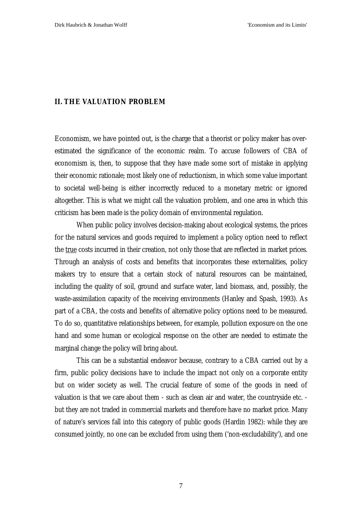### **II. THE VALUATION PROBLEM**

Economism, we have pointed out, is the charge that a theorist or policy maker has overestimated the significance of the economic realm. To accuse followers of CBA of economism is, then, to suppose that they have made some sort of mistake in applying their economic rationale; most likely one of reductionism, in which some value important to societal well-being is either incorrectly reduced to a monetary metric or ignored altogether. This is what we might call the valuation problem, and one area in which this criticism has been made is the policy domain of environmental regulation.

When public policy involves decision-making about ecological systems, the prices for the natural services and goods required to implement a policy option need to reflect the true costs incurred in their creation, not only those that are reflected in market prices. Through an analysis of costs and benefits that incorporates these externalities, policy makers try to ensure that a certain stock of natural resources can be maintained, including the quality of soil, ground and surface water, land biomass, and, possibly, the waste-assimilation capacity of the receiving environments (Hanley and Spash, 1993). As part of a CBA, the costs and benefits of alternative policy options need to be measured. To do so, quantitative relationships between, for example, pollution exposure on the one hand and some human or ecological response on the other are needed to estimate the marginal change the policy will bring about.

This can be a substantial endeavor because, contrary to a CBA carried out by a firm, public policy decisions have to include the impact not only on a corporate entity but on wider society as well. The crucial feature of some of the goods in need of valuation is that we care about them - such as clean air and water, the countryside etc. but they are not traded in commercial markets and therefore have no market price. Many of nature's services fall into this category of public goods (Hardin 1982): while they are consumed jointly, no one can be excluded from using them ('non-excludability'), and one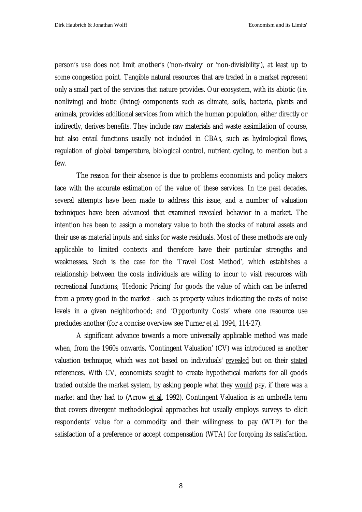person's use does not limit another's ('non-rivalry' or 'non-divisibility'), at least up to some congestion point. Tangible natural resources that are traded in a market represent only a small part of the services that nature provides. Our ecosystem, with its abiotic (i.e. nonliving) and biotic (living) components such as climate, soils, bacteria, plants and animals, provides additional services from which the human population, either directly or indirectly, derives benefits. They include raw materials and waste assimilation of course, but also entail functions usually not included in CBAs, such as hydrological flows, regulation of global temperature, biological control, nutrient cycling, to mention but a few.

The reason for their absence is due to problems economists and policy makers face with the accurate estimation of the value of these services. In the past decades, several attempts have been made to address this issue, and a number of valuation techniques have been advanced that examined revealed behavior in a market. The intention has been to assign a monetary value to both the stocks of natural assets and their use as material inputs and sinks for waste residuals. Most of these methods are only applicable to limited contexts and therefore have their particular strengths and weaknesses. Such is the case for the 'Travel Cost Method', which establishes a relationship between the costs individuals are willing to incur to visit resources with recreational functions; 'Hedonic Pricing' for goods the value of which can be inferred from a proxy-good in the market - such as property values indicating the costs of noise levels in a given neighborhood; and 'Opportunity Costs' where one resource use precludes another (for a concise overview see Turner et al. 1994, 114-27).

A significant advance towards a more universally applicable method was made when, from the 1960s onwards, 'Contingent Valuation' (CV) was introduced as another valuation technique, which was not based on individuals' revealed but on their stated references. With CV, economists sought to create hypothetical markets for all goods traded outside the market system, by asking people what they would pay, if there was a market and they had to (Arrow et al. 1992). Contingent Valuation is an umbrella term that covers divergent methodological approaches but usually employs surveys to elicit respondents' value for a commodity and their willingness to pay (WTP) for the satisfaction of a preference or accept compensation (WTA) for forgoing its satisfaction.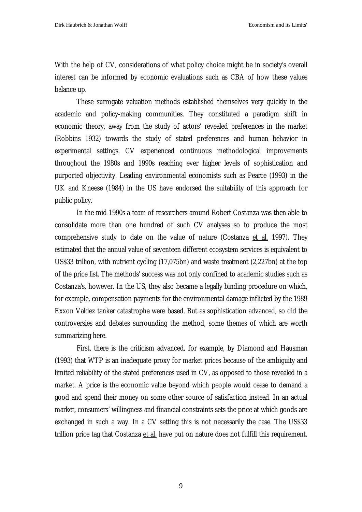With the help of CV, considerations of what policy choice might be in society's overall interest can be informed by economic evaluations such as CBA of how these values balance up.

These surrogate valuation methods established themselves very quickly in the academic and policy-making communities. They constituted a paradigm shift in economic theory, away from the study of actors' revealed preferences in the market (Robbins 1932) towards the study of stated preferences and human behavior in experimental settings. CV experienced continuous methodological improvements throughout the 1980s and 1990s reaching ever higher levels of sophistication and purported objectivity. Leading environmental economists such as Pearce (1993) in the UK and Kneese (1984) in the US have endorsed the suitability of this approach for public policy.

In the mid 1990s a team of researchers around Robert Costanza was then able to consolidate more than one hundred of such CV analyses so to produce the most comprehensive study to date on the value of nature (Costanza  $et$  al. 1997). They estimated that the annual value of seventeen different ecosystem services is equivalent to US\$33 trillion, with nutrient cycling (17,075bn) and waste treatment (2,227bn) at the top of the price list. The methods' success was not only confined to academic studies such as Costanza's, however. In the US, they also became a legally binding procedure on which, for example, compensation payments for the environmental damage inflicted by the 1989 Exxon Valdez tanker catastrophe were based. But as sophistication advanced, so did the controversies and debates surrounding the method, some themes of which are worth summarizing here.

First, there is the criticism advanced, for example, by Diamond and Hausman (1993) that WTP is an inadequate proxy for market prices because of the ambiguity and limited reliability of the stated preferences used in CV, as opposed to those revealed in a market. A price is the economic value beyond which people would cease to demand a good and spend their money on some other source of satisfaction instead. In an actual market, consumers' willingness and financial constraints sets the price at which goods are exchanged in such a way. In a CV setting this is not necessarily the case. The US\$33 trillion price tag that Costanza et al. have put on nature does not fulfill this requirement.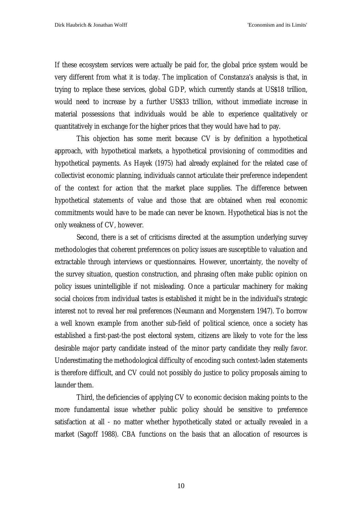If these ecosystem services were actually be paid for, the global price system would be very different from what it is today. The implication of Constanza's analysis is that, in trying to replace these services, global GDP, which currently stands at US\$18 trillion, would need to increase by a further US\$33 trillion, without immediate increase in material possessions that individuals would be able to experience qualitatively or quantitatively in exchange for the higher prices that they would have had to pay.

This objection has some merit because CV is by definition a hypothetical approach, with hypothetical markets, a hypothetical provisioning of commodities and hypothetical payments. As Hayek (1975) had already explained for the related case of collectivist economic planning, individuals cannot articulate their preference independent of the context for action that the market place supplies. The difference between hypothetical statements of value and those that are obtained when real economic commitments would have to be made can never be known. Hypothetical bias is not the only weakness of CV, however.

Second, there is a set of criticisms directed at the assumption underlying survey methodologies that coherent preferences on policy issues are susceptible to valuation and extractable through interviews or questionnaires. However, uncertainty, the novelty of the survey situation, question construction, and phrasing often make public opinion on policy issues unintelligible if not misleading. Once a particular machinery for making social choices from individual tastes is established it might be in the individual's strategic interest not to reveal her real preferences (Neumann and Morgenstern 1947). To borrow a well known example from another sub-field of political science, once a society has established a first-past-the post electoral system, citizens are likely to vote for the less desirable major party candidate instead of the minor party candidate they really favor. Underestimating the methodological difficulty of encoding such context-laden statements is therefore difficult, and CV could not possibly do justice to policy proposals aiming to launder them.

Third, the deficiencies of applying CV to economic decision making points to the more fundamental issue whether public policy should be sensitive to preference satisfaction at all - no matter whether hypothetically stated or actually revealed in a market (Sagoff 1988). CBA functions on the basis that an allocation of resources is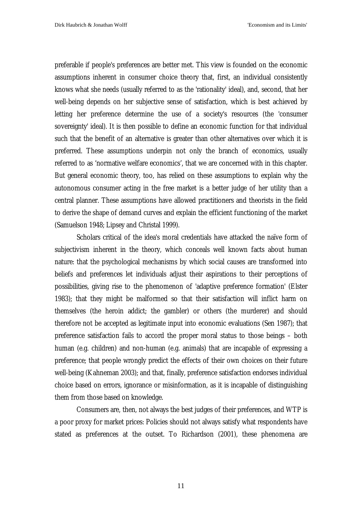preferable if people's preferences are better met. This view is founded on the economic assumptions inherent in consumer choice theory that, first, an individual consistently knows what she needs (usually referred to as the 'rationality' ideal), and, second, that her well-being depends on her subjective sense of satisfaction, which is best achieved by letting her preference determine the use of a society's resources (the 'consumer sovereignty' ideal). It is then possible to define an economic function for that individual such that the benefit of an alternative is greater than other alternatives over which it is preferred. These assumptions underpin not only the branch of economics, usually referred to as 'normative welfare economics', that we are concerned with in this chapter. But general economic theory, too, has relied on these assumptions to explain why the autonomous consumer acting in the free market is a better judge of her utility than a central planner. These assumptions have allowed practitioners and theorists in the field to derive the shape of demand curves and explain the efficient functioning of the market (Samuelson 1948; Lipsey and Christal 1999).

Scholars critical of the idea's moral credentials have attacked the naïve form of subjectivism inherent in the theory, which conceals well known facts about human nature: that the psychological mechanisms by which social causes are transformed into beliefs and preferences let individuals adjust their aspirations to their perceptions of possibilities, giving rise to the phenomenon of 'adaptive preference formation' (Elster 1983); that they might be malformed so that their satisfaction will inflict harm on themselves (the heroin addict; the gambler) or others (the murderer) and should therefore not be accepted as legitimate input into economic evaluations (Sen 1987); that preference satisfaction fails to accord the proper moral status to those beings – both human (e.g. children) and non-human (e.g. animals) that are incapable of expressing a preference; that people wrongly predict the effects of their own choices on their future well-being (Kahneman 2003); and that, finally, preference satisfaction endorses individual choice based on errors, ignorance or misinformation, as it is incapable of distinguishing them from those based on knowledge.

Consumers are, then, not always the best judges of their preferences, and WTP is a poor proxy for market prices: Policies should not always satisfy what respondents have stated as preferences at the outset. To Richardson (2001), these phenomena are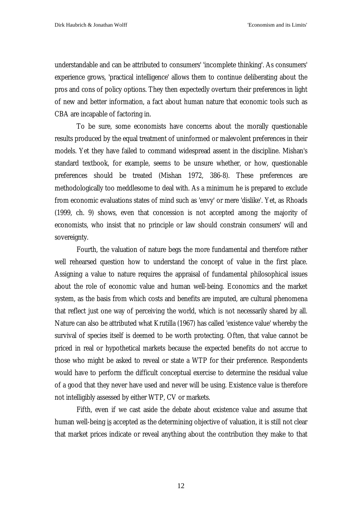understandable and can be attributed to consumers' 'incomplete thinking'. As consumers' experience grows, 'practical intelligence' allows them to continue deliberating about the pros and cons of policy options. They then expectedly overturn their preferences in light of new and better information, a fact about human nature that economic tools such as CBA are incapable of factoring in.

To be sure, some economists have concerns about the morally questionable results produced by the equal treatment of uninformed or malevolent preferences in their models. Yet they have failed to command widespread assent in the discipline. Mishan's standard textbook, for example, seems to be unsure whether, or how, questionable preferences should be treated (Mishan 1972, 386-8). These preferences are methodologically too meddlesome to deal with. As a minimum he is prepared to exclude from economic evaluations states of mind such as 'envy' or mere 'dislike'. Yet, as Rhoads (1999, ch. 9) shows, even that concession is not accepted among the majority of economists, who insist that no principle or law should constrain consumers' will and sovereignty.

Fourth, the valuation of nature begs the more fundamental and therefore rather well rehearsed question how to understand the concept of value in the first place. Assigning a value to nature requires the appraisal of fundamental philosophical issues about the role of economic value and human well-being. Economics and the market system, as the basis from which costs and benefits are imputed, are cultural phenomena that reflect just one way of perceiving the world, which is not necessarily shared by all. Nature can also be attributed what Krutilla (1967) has called 'existence value' whereby the survival of species itself is deemed to be worth protecting. Often, that value cannot be priced in real or hypothetical markets because the expected benefits do not accrue to those who might be asked to reveal or state a WTP for their preference. Respondents would have to perform the difficult conceptual exercise to determine the residual value of a good that they never have used and never will be using. Existence value is therefore not intelligibly assessed by either WTP, CV or markets.

Fifth, even if we cast aside the debate about existence value and assume that human well-being is accepted as the determining objective of valuation, it is still not clear that market prices indicate or reveal anything about the contribution they make to that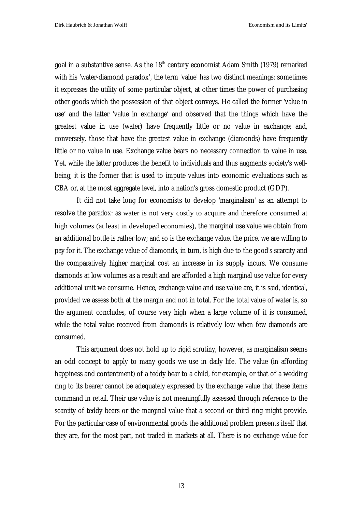goal in a substantive sense. As the  $18<sup>th</sup>$  century economist Adam Smith (1979) remarked with his 'water-diamond paradox', the term 'value' has two distinct meanings: sometimes it expresses the utility of some particular object, at other times the power of purchasing other goods which the possession of that object conveys. He called the former 'value in use' and the latter 'value in exchange' and observed that the things which have the greatest value in use (water) have frequently little or no value in exchange; and, conversely, those that have the greatest value in exchange (diamonds) have frequently little or no value in use. Exchange value bears no necessary connection to value in use. Yet, while the latter produces the benefit to individuals and thus augments society's wellbeing, it is the former that is used to impute values into economic evaluations such as CBA or, at the most aggregate level, into a nation's gross domestic product (GDP).

It did not take long for economists to develop 'marginalism' as an attempt to resolve the paradox: as water is not very costly to acquire and therefore consumed at high volumes (at least in developed economies), the marginal use value we obtain from an additional bottle is rather low; and so is the exchange value, the price, we are willing to pay for it. The exchange value of diamonds, in turn, is high due to the good's scarcity and the comparatively higher marginal cost an increase in its supply incurs. We consume diamonds at low volumes as a result and are afforded a high marginal use value for every additional unit we consume. Hence, exchange value and use value are, it is said, identical, provided we assess both at the margin and not in total. For the total value of water is, so the argument concludes, of course very high when a large volume of it is consumed, while the total value received from diamonds is relatively low when few diamonds are consumed.

This argument does not hold up to rigid scrutiny, however, as marginalism seems an odd concept to apply to many goods we use in daily life. The value (in affording happiness and contentment) of a teddy bear to a child, for example, or that of a wedding ring to its bearer cannot be adequately expressed by the exchange value that these items command in retail. Their use value is not meaningfully assessed through reference to the scarcity of teddy bears or the marginal value that a second or third ring might provide. For the particular case of environmental goods the additional problem presents itself that they are, for the most part, not traded in markets at all. There is no exchange value for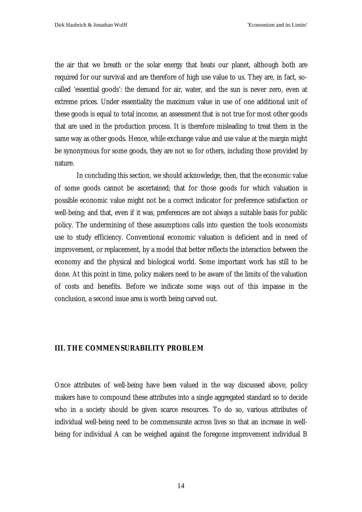the air that we breath or the solar energy that heats our planet, although both are required for our survival and are therefore of high use value to us. They are, in fact, socalled 'essential goods': the demand for air, water, and the sun is never zero, even at extreme prices. Under essentiality the maximum value in use of one additional unit of these goods is equal to total income, an assessment that is not true for most other goods that are used in the production process. It is therefore misleading to treat them in the same way as other goods. Hence, while exchange value and use value at the margin might be synonymous for some goods, they are not so for others, including those provided by nature.

In concluding this section, we should acknowledge, then, that the economic value of some goods cannot be ascertained; that for those goods for which valuation is possible economic value might not be a correct indicator for preference satisfaction or well-being; and that, even if it was, preferences are not always a suitable basis for public policy. The undermining of these assumptions calls into question the tools economists use to study efficiency. Conventional economic valuation is deficient and in need of improvement, or replacement, by a model that better reflects the interaction between the economy and the physical and biological world. Some important work has still to be done. At this point in time, policy makers need to be aware of the limits of the valuation of costs and benefits. Before we indicate some ways out of this impasse in the conclusion, a second issue area is worth being carved out.

### **III. THE COMMENSURABILITY PROBLEM**

Once attributes of well-being have been valued in the way discussed above, policy makers have to compound these attributes into a single aggregated standard so to decide who in a society should be given scarce resources. To do so, various attributes of individual well-being need to be commensurate across lives so that an increase in wellbeing for individual A can be weighed against the foregone improvement individual B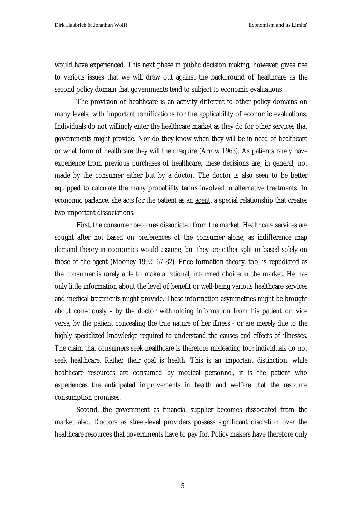would have experienced. This next phase in public decision making, however, gives rise to various issues that we will draw out against the background of healthcare as the second policy domain that governments tend to subject to economic evaluations.

The provision of healthcare is an activity different to other policy domains on many levels, with important ramifications for the applicability of economic evaluations. Individuals do not willingly enter the healthcare market as they do for other services that governments might provide. Nor do they know when they will be in need of healthcare or what form of healthcare they will then require (Arrow 1963). As patients rarely have experience from previous purchases of healthcare, these decisions are, in general, not made by the consumer either but by a doctor. The doctor is also seen to be better equipped to calculate the many probability terms involved in alternative treatments. In economic parlance, she acts for the patient as an agent, a special relationship that creates two important dissociations.

First, the consumer becomes dissociated from the market. Healthcare services are sought after not based on preferences of the consumer alone, as indifference map demand theory in economics would assume, but they are either split or based solely on those of the agent (Mooney 1992, 67-82). Price formation theory, too, is repudiated as the consumer is rarely able to make a rational, informed choice in the market. He has only little information about the level of benefit or well-being various healthcare services and medical treatments might provide. These information asymmetries might be brought about consciously - by the doctor withholding information from his patient or, vice versa, by the patient concealing the true nature of her illness - or are merely due to the highly specialized knowledge required to understand the causes and effects of illnesses. The claim that consumers seek healthcare is therefore misleading too: individuals do not seek healthcare. Rather their goal is health. This is an important distinction: while healthcare resources are consumed by medical personnel, it is the patient who experiences the anticipated improvements in health and welfare that the resource consumption promises.

Second, the government as financial supplier becomes dissociated from the market also. Doctors as street-level providers possess significant discretion over the healthcare resources that governments have to pay for. Policy makers have therefore only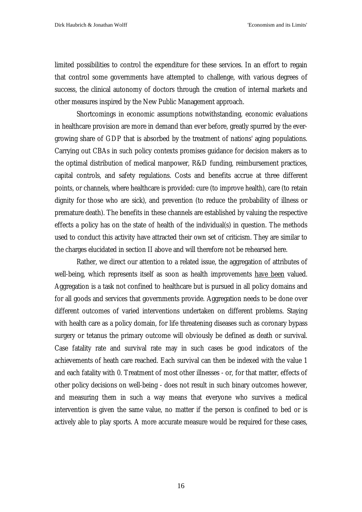limited possibilities to control the expenditure for these services. In an effort to regain that control some governments have attempted to challenge, with various degrees of success, the clinical autonomy of doctors through the creation of internal markets and other measures inspired by the New Public Management approach.

Shortcomings in economic assumptions notwithstanding, economic evaluations in healthcare provision are more in demand than ever before, greatly spurred by the evergrowing share of GDP that is absorbed by the treatment of nations' aging populations. Carrying out CBAs in such policy contexts promises guidance for decision makers as to the optimal distribution of medical manpower, R&D funding, reimbursement practices, capital controls, and safety regulations. Costs and benefits accrue at three different points, or channels, where healthcare is provided: cure (to improve health), care (to retain dignity for those who are sick), and prevention (to reduce the probability of illness or premature death). The benefits in these channels are established by valuing the respective effects a policy has on the state of health of the individual(s) in question. The methods used to conduct this activity have attracted their own set of criticism. They are similar to the charges elucidated in section II above and will therefore not be rehearsed here.

Rather, we direct our attention to a related issue, the aggregation of attributes of well-being, which represents itself as soon as health improvements have been valued. Aggregation is a task not confined to healthcare but is pursued in all policy domains and for all goods and services that governments provide. Aggregation needs to be done over different outcomes of varied interventions undertaken on different problems. Staying with health care as a policy domain, for life threatening diseases such as coronary bypass surgery or tetanus the primary outcome will obviously be defined as death or survival. Case fatality rate and survival rate may in such cases be good indicators of the achievements of heath care reached. Each survival can then be indexed with the value 1 and each fatality with 0. Treatment of most other illnesses - or, for that matter, effects of other policy decisions on well-being - does not result in such binary outcomes however, and measuring them in such a way means that everyone who survives a medical intervention is given the same value, no matter if the person is confined to bed or is actively able to play sports. A more accurate measure would be required for these cases,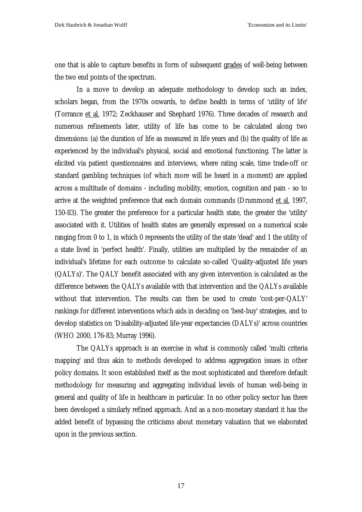one that is able to capture benefits in form of subsequent grades of well-being between the two end points of the spectrum.

In a move to develop an adequate methodology to develop such an index, scholars began, from the 1970s onwards, to define health in terms of 'utility of life' (Torrance et al. 1972; Zeckhauser and Shephard 1976). Three decades of research and numerous refinements later, utility of life has come to be calculated along two dimensions: (a) the duration of life as measured in life years and (b) the quality of life as experienced by the individual's physical, social and emotional functioning. The latter is elicited via patient questionnaires and interviews, where rating scale, time trade-off or standard gambling techniques (of which more will be heard in a moment) are applied across a multitude of domains - including mobility, emotion, cognition and pain - so to arrive at the weighted preference that each domain commands (Drummond et al. 1997, 150-83). The greater the preference for a particular health state, the greater the 'utility' associated with it. Utilities of health states are generally expressed on a numerical scale ranging from 0 to 1, in which 0 represents the utility of the state 'dead' and 1 the utility of a state lived in 'perfect health'. Finally, utilities are multiplied by the remainder of an individual's lifetime for each outcome to calculate so-called 'Quality-adjusted life years (QALYs)'. The QALY benefit associated with any given intervention is calculated as the difference between the QALYs available with that intervention and the QALYs available without that intervention. The results can then be used to create 'cost-per-QALY' rankings for different interventions which aids in deciding on 'best-buy' strategies, and to develop statistics on 'Disability-adjusted life-year expectancies (DALYs)' across countries (WHO 2000, 176-83; Murray 1996).

The QALYs approach is an exercise in what is commonly called 'multi criteria mapping' and thus akin to methods developed to address aggregation issues in other policy domains. It soon established itself as the most sophisticated and therefore default methodology for measuring and aggregating individual levels of human well-being in general and quality of life in healthcare in particular. In no other policy sector has there been developed a similarly refined approach. And as a non-monetary standard it has the added benefit of bypassing the criticisms about monetary valuation that we elaborated upon in the previous section.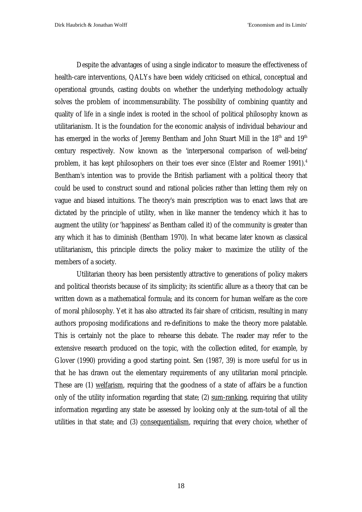Despite the advantages of using a single indicator to measure the effectiveness of health-care interventions, QALYs have been widely criticised on ethical, conceptual and operational grounds, casting doubts on whether the underlying methodology actually solves the problem of incommensurability. The possibility of combining quantity and quality of life in a single index is rooted in the school of political philosophy known as utilitarianism. It is the foundation for the economic analysis of individual behaviour and has emerged in the works of Jeremy Bentham and John Stuart Mill in the 18<sup>th</sup> and 19<sup>th</sup> century respectively. Now known as the 'interpersonal comparison of well-being' problem, it has kept philosophers on their toes ever since (Elster and Roemer 1991).<sup>4</sup> Bentham's intention was to provide the British parliament with a political theory that could be used to construct sound and rational policies rather than letting them rely on vague and biased intuitions. The theory's main prescription was to enact laws that are dictated by the principle of utility, when in like manner the tendency which it has to augment the utility (or 'happiness' as Bentham called it) of the community is greater than any which it has to diminish (Bentham 1970). In what became later known as classical utilitarianism, this principle directs the policy maker to maximize the utility of the members of a society.

Utilitarian theory has been persistently attractive to generations of policy makers and political theorists because of its simplicity; its scientific allure as a theory that can be written down as a mathematical formula; and its concern for human welfare as the core of moral philosophy. Yet it has also attracted its fair share of criticism, resulting in many authors proposing modifications and re-definitions to make the theory more palatable. This is certainly not the place to rehearse this debate. The reader may refer to the extensive research produced on the topic, with the collection edited, for example, by Glover (1990) providing a good starting point. Sen (1987, 39) is more useful for us in that he has drawn out the elementary requirements of any utilitarian moral principle. These are (1) welfarism, requiring that the goodness of a state of affairs be a function only of the utility information regarding that state; (2) sum-ranking, requiring that utility information regarding any state be assessed by looking only at the sum-total of all the utilities in that state; and (3) consequentialism, requiring that every choice, whether of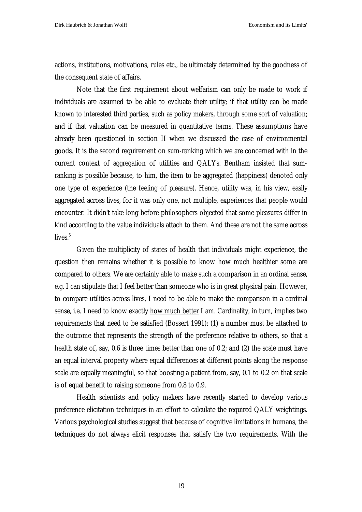actions, institutions, motivations, rules etc., be ultimately determined by the goodness of the consequent state of affairs.

Note that the first requirement about welfarism can only be made to work if individuals are assumed to be able to evaluate their utility; if that utility can be made known to interested third parties, such as policy makers, through some sort of valuation; and if that valuation can be measured in quantitative terms. These assumptions have already been questioned in section II when we discussed the case of environmental goods. It is the second requirement on sum-ranking which we are concerned with in the current context of aggregation of utilities and QALYs. Bentham insisted that sumranking is possible because, to him, the item to be aggregated (happiness) denoted only one type of experience (the feeling of pleasure). Hence, utility was, in his view, easily aggregated across lives, for it was only one, not multiple, experiences that people would encounter. It didn't take long before philosophers objected that some pleasures differ in kind according to the value individuals attach to them. And these are not the same across lives.<sup>5</sup>

Given the multiplicity of states of health that individuals might experience, the question then remains whether it is possible to know how much healthier some are compared to others. We are certainly able to make such a comparison in an ordinal sense, e.g. I can stipulate that I feel better than someone who is in great physical pain. However, to compare utilities across lives, I need to be able to make the comparison in a cardinal sense, i.e. I need to know exactly how much better I am. Cardinality, in turn, implies two requirements that need to be satisfied (Bossert 1991): (1) a number must be attached to the outcome that represents the strength of the preference relative to others, so that a health state of, say, 0.6 is three times better than one of 0.2; and (2) the scale must have an equal interval property where equal differences at different points along the response scale are equally meaningful, so that boosting a patient from, say, 0.1 to 0.2 on that scale is of equal benefit to raising someone from 0.8 to 0.9.

Health scientists and policy makers have recently started to develop various preference elicitation techniques in an effort to calculate the required QALY weightings. Various psychological studies suggest that because of cognitive limitations in humans, the techniques do not always elicit responses that satisfy the two requirements. With the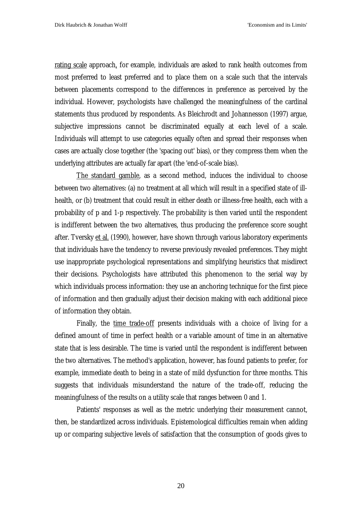rating scale approach, for example, individuals are asked to rank health outcomes from most preferred to least preferred and to place them on a scale such that the intervals between placements correspond to the differences in preference as perceived by the individual. However, psychologists have challenged the meaningfulness of the cardinal statements thus produced by respondents. As Bleichrodt and Johannesson (1997) argue, subjective impressions cannot be discriminated equally at each level of a scale. Individuals will attempt to use categories equally often and spread their responses when cases are actually close together (the 'spacing out' bias), or they compress them when the underlying attributes are actually far apart (the 'end-of-scale bias).

The standard gamble, as a second method, induces the individual to choose between two alternatives: (a) no treatment at all which will result in a specified state of illhealth, or (b) treatment that could result in either death or illness-free health, each with a probability of p and 1-p respectively. The probability is then varied until the respondent is indifferent between the two alternatives, thus producing the preference score sought after. Tversky et al. (1990), however, have shown through various laboratory experiments that individuals have the tendency to reverse previously revealed preferences. They might use inappropriate psychological representations and simplifying heuristics that misdirect their decisions. Psychologists have attributed this phenomenon to the serial way by which individuals process information: they use an anchoring technique for the first piece of information and then gradually adjust their decision making with each additional piece of information they obtain.

Finally, the time trade-off presents individuals with a choice of living for a defined amount of time in perfect health or a variable amount of time in an alternative state that is less desirable. The time is varied until the respondent is indifferent between the two alternatives. The method's application, however, has found patients to prefer, for example, immediate death to being in a state of mild dysfunction for three months. This suggests that individuals misunderstand the nature of the trade-off, reducing the meaningfulness of the results on a utility scale that ranges between 0 and 1.

Patients' responses as well as the metric underlying their measurement cannot, then, be standardized across individuals. Epistemological difficulties remain when adding up or comparing subjective levels of satisfaction that the consumption of goods gives to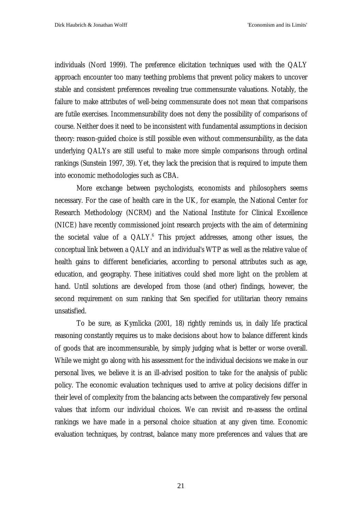individuals (Nord 1999). The preference elicitation techniques used with the QALY approach encounter too many teething problems that prevent policy makers to uncover stable and consistent preferences revealing true commensurate valuations. Notably, the failure to make attributes of well-being commensurate does not mean that comparisons are futile exercises. Incommensurability does not deny the possibility of comparisons of course. Neither does it need to be inconsistent with fundamental assumptions in decision theory: reason-guided choice is still possible even without commensurability, as the data underlying QALYs are still useful to make more simple comparisons through ordinal rankings (Sunstein 1997, 39). Yet, they lack the precision that is required to impute them into economic methodologies such as CBA.

More exchange between psychologists, economists and philosophers seems necessary. For the case of health care in the UK, for example, the National Center for Research Methodology (NCRM) and the National Institute for Clinical Excellence (NICE) have recently commissioned joint research projects with the aim of determining the societal value of a QALY.<sup>6</sup> This project addresses, among other issues, the conceptual link between a QALY and an individual's WTP as well as the relative value of health gains to different beneficiaries, according to personal attributes such as age, education, and geography. These initiatives could shed more light on the problem at hand. Until solutions are developed from those (and other) findings, however, the second requirement on sum ranking that Sen specified for utilitarian theory remains unsatisfied.

To be sure, as Kymlicka (2001, 18) rightly reminds us, in daily life practical reasoning constantly requires us to make decisions about how to balance different kinds of goods that are incommensurable, by simply judging what is better or worse overall. While we might go along with his assessment for the individual decisions we make in our personal lives, we believe it is an ill-advised position to take for the analysis of public policy. The economic evaluation techniques used to arrive at policy decisions differ in their level of complexity from the balancing acts between the comparatively few personal values that inform our individual choices. We can revisit and re-assess the ordinal rankings we have made in a personal choice situation at any given time. Economic evaluation techniques, by contrast, balance many more preferences and values that are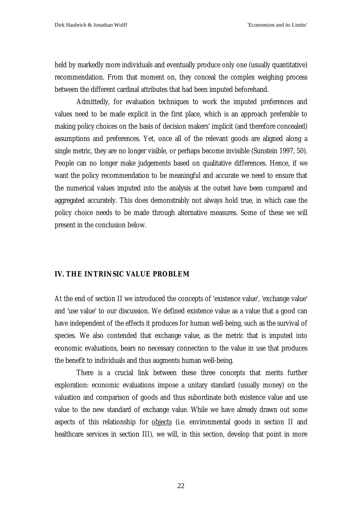held by markedly more individuals and eventually produce only one (usually quantitative) recommendation. From that moment on, they conceal the complex weighing process between the different cardinal attributes that had been imputed beforehand.

Admittedly, for evaluation techniques to work the imputed preferences and values need to be made explicit in the first place, which is an approach preferable to making policy choices on the basis of decision makers' implicit (and therefore concealed) assumptions and preferences. Yet, once all of the relevant goods are aligned along a single metric, they are no longer visible, or perhaps become invisible (Sunstein 1997, 50). People can no longer make judgements based on qualitative differences. Hence, if we want the policy recommendation to be meaningful and accurate we need to ensure that the numerical values imputed into the analysis at the outset have been compared and aggregated accurately. This does demonstrably not always hold true, in which case the policy choice needs to be made through alternative measures. Some of these we will present in the conclusion below.

#### **IV. THE INTRINSIC VALUE PROBLEM**

At the end of section II we introduced the concepts of 'existence value', 'exchange value' and 'use value' to our discussion. We defined existence value as a value that a good can have independent of the effects it produces for human well-being, such as the survival of species. We also contended that exchange value, as the metric that is imputed into economic evaluations, bears no necessary connection to the value in use that produces the benefit to individuals and thus augments human well-being.

There is a crucial link between these three concepts that merits further exploration: economic evaluations impose a unitary standard (usually money) on the valuation and comparison of goods and thus subordinate both existence value and use value to the new standard of exchange value. While we have already drawn out some aspects of this relationship for objects (i.e. environmental goods in section II and healthcare services in section III), we will, in this section, develop that point in more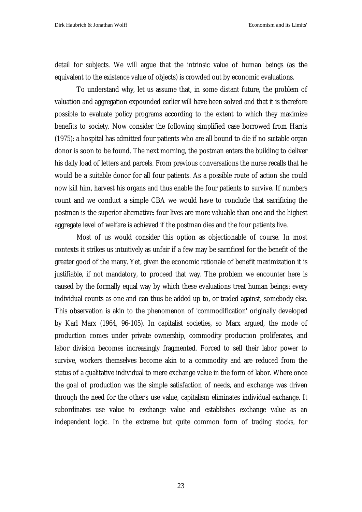detail for subjects. We will argue that the intrinsic value of human beings (as the equivalent to the existence value of objects) is crowded out by economic evaluations.

To understand why, let us assume that, in some distant future, the problem of valuation and aggregation expounded earlier will have been solved and that it is therefore possible to evaluate policy programs according to the extent to which they maximize benefits to society. Now consider the following simplified case borrowed from Harris (1975): a hospital has admitted four patients who are all bound to die if no suitable organ donor is soon to be found. The next morning, the postman enters the building to deliver his daily load of letters and parcels. From previous conversations the nurse recalls that he would be a suitable donor for all four patients. As a possible route of action she could now kill him, harvest his organs and thus enable the four patients to survive. If numbers count and we conduct a simple CBA we would have to conclude that sacrificing the postman is the superior alternative: four lives are more valuable than one and the highest aggregate level of welfare is achieved if the postman dies and the four patients live.

Most of us would consider this option as objectionable of course. In most contexts it strikes us intuitively as unfair if a few may be sacrificed for the benefit of the greater good of the many. Yet, given the economic rationale of benefit maximization it is justifiable, if not mandatory, to proceed that way. The problem we encounter here is caused by the formally equal way by which these evaluations treat human beings: every individual counts as one and can thus be added up to, or traded against, somebody else. This observation is akin to the phenomenon of 'commodification' originally developed by Karl Marx (1964, 96-105). In capitalist societies, so Marx argued, the mode of production comes under private ownership, commodity production proliferates, and labor division becomes increasingly fragmented. Forced to sell their labor power to survive, workers themselves become akin to a commodity and are reduced from the status of a qualitative individual to mere exchange value in the form of labor. Where once the goal of production was the simple satisfaction of needs, and exchange was driven through the need for the other's use value, capitalism eliminates individual exchange. It subordinates use value to exchange value and establishes exchange value as an independent logic. In the extreme but quite common form of trading stocks, for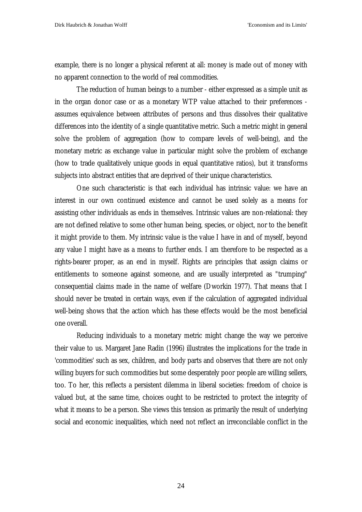example, there is no longer a physical referent at all: money is made out of money with no apparent connection to the world of real commodities.

The reduction of human beings to a number - either expressed as a simple unit as in the organ donor case or as a monetary WTP value attached to their preferences assumes equivalence between attributes of persons and thus dissolves their qualitative differences into the identity of a single quantitative metric. Such a metric might in general solve the problem of aggregation (how to compare levels of well-being), and the monetary metric as exchange value in particular might solve the problem of exchange (how to trade qualitatively unique goods in equal quantitative ratios), but it transforms subjects into abstract entities that are deprived of their unique characteristics.

One such characteristic is that each individual has intrinsic value: we have an interest in our own continued existence and cannot be used solely as a means for assisting other individuals as ends in themselves. Intrinsic values are non-relational: they are not defined relative to some other human being, species, or object, nor to the benefit it might provide to them. My intrinsic value is the value I have in and of myself, beyond any value I might have as a means to further ends. I am therefore to be respected as a rights-bearer proper, as an end in myself. Rights are principles that assign claims or entitlements to someone against someone, and are usually interpreted as "trumping" consequential claims made in the name of welfare (Dworkin 1977). That means that I should never be treated in certain ways, even if the calculation of aggregated individual well-being shows that the action which has these effects would be the most beneficial one overall.

Reducing individuals to a monetary metric might change the way we perceive their value to us. Margaret Jane Radin (1996) illustrates the implications for the trade in 'commodities' such as sex, children, and body parts and observes that there are not only willing buyers for such commodities but some desperately poor people are willing sellers, too. To her, this reflects a persistent dilemma in liberal societies: freedom of choice is valued but, at the same time, choices ought to be restricted to protect the integrity of what it means to be a person. She views this tension as primarily the result of underlying social and economic inequalities, which need not reflect an irreconcilable conflict in the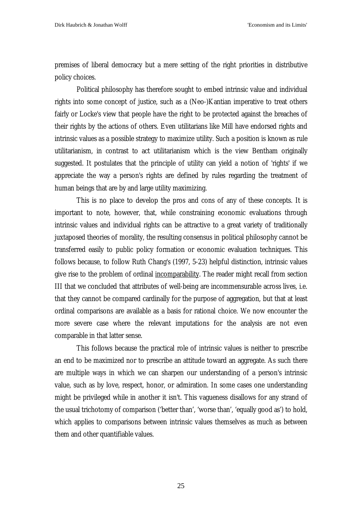premises of liberal democracy but a mere setting of the right priorities in distributive policy choices.

Political philosophy has therefore sought to embed intrinsic value and individual rights into some concept of justice, such as a (Neo-)Kantian imperative to treat others fairly or Locke's view that people have the right to be protected against the breaches of their rights by the actions of others. Even utilitarians like Mill have endorsed rights and intrinsic values as a possible strategy to maximize utility. Such a position is known as rule utilitarianism, in contrast to act utilitarianism which is the view Bentham originally suggested. It postulates that the principle of utility can yield a notion of 'rights' if we appreciate the way a person's rights are defined by rules regarding the treatment of human beings that are by and large utility maximizing.

This is no place to develop the pros and cons of any of these concepts. It is important to note, however, that, while constraining economic evaluations through intrinsic values and individual rights can be attractive to a great variety of traditionally juxtaposed theories of morality, the resulting consensus in political philosophy cannot be transferred easily to public policy formation or economic evaluation techniques. This follows because, to follow Ruth Chang's (1997, 5-23) helpful distinction, intrinsic values give rise to the problem of ordinal incomparability. The reader might recall from section III that we concluded that attributes of well-being are incommensurable across lives, i.e. that they cannot be compared cardinally for the purpose of aggregation, but that at least ordinal comparisons are available as a basis for rational choice. We now encounter the more severe case where the relevant imputations for the analysis are not even comparable in that latter sense.

This follows because the practical role of intrinsic values is neither to prescribe an end to be maximized nor to prescribe an attitude toward an aggregate. As such there are multiple ways in which we can sharpen our understanding of a person's intrinsic value, such as by love, respect, honor, or admiration. In some cases one understanding might be privileged while in another it isn't. This vagueness disallows for any strand of the usual trichotomy of comparison ('better than', 'worse than', 'equally good as') to hold, which applies to comparisons between intrinsic values themselves as much as between them and other quantifiable values.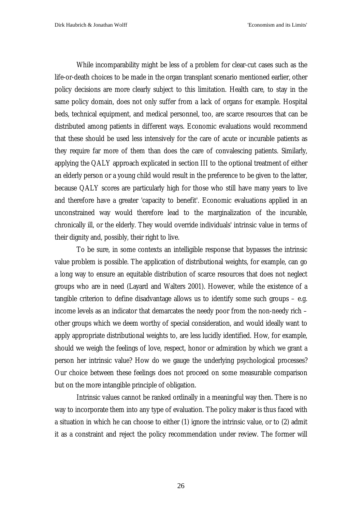While incomparability might be less of a problem for clear-cut cases such as the life-or-death choices to be made in the organ transplant scenario mentioned earlier, other policy decisions are more clearly subject to this limitation. Health care, to stay in the same policy domain, does not only suffer from a lack of organs for example. Hospital beds, technical equipment, and medical personnel, too, are scarce resources that can be distributed among patients in different ways. Economic evaluations would recommend that these should be used less intensively for the care of acute or incurable patients as they require far more of them than does the care of convalescing patients. Similarly, applying the QALY approach explicated in section III to the optional treatment of either an elderly person or a young child would result in the preference to be given to the latter, because QALY scores are particularly high for those who still have many years to live and therefore have a greater 'capacity to benefit'. Economic evaluations applied in an unconstrained way would therefore lead to the marginalization of the incurable, chronically ill, or the elderly. They would override individuals' intrinsic value in terms of their dignity and, possibly, their right to live.

To be sure, in some contexts an intelligible response that bypasses the intrinsic value problem is possible. The application of distributional weights, for example, can go a long way to ensure an equitable distribution of scarce resources that does not neglect groups who are in need (Layard and Walters 2001). However, while the existence of a tangible criterion to define disadvantage allows us to identify some such groups – e.g. income levels as an indicator that demarcates the needy poor from the non-needy rich – other groups which we deem worthy of special consideration, and would ideally want to apply appropriate distributional weights to, are less lucidly identified. How, for example, should we weigh the feelings of love, respect, honor or admiration by which we grant a person her intrinsic value? How do we gauge the underlying psychological processes? Our choice between these feelings does not proceed on some measurable comparison but on the more intangible principle of obligation.

Intrinsic values cannot be ranked ordinally in a meaningful way then. There is no way to incorporate them into any type of evaluation. The policy maker is thus faced with a situation in which he can choose to either (1) ignore the intrinsic value, or to (2) admit it as a constraint and reject the policy recommendation under review. The former will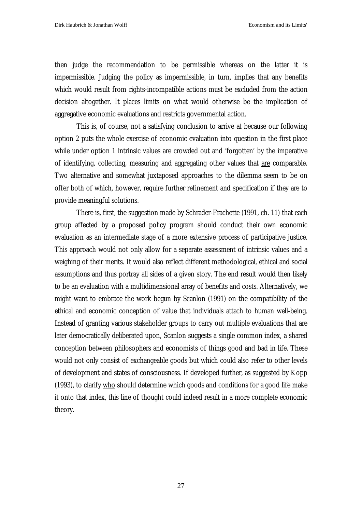then judge the recommendation to be permissible whereas on the latter it is impermissible. Judging the policy as impermissible, in turn, implies that any benefits which would result from rights-incompatible actions must be excluded from the action decision altogether. It places limits on what would otherwise be the implication of aggregative economic evaluations and restricts governmental action.

This is, of course, not a satisfying conclusion to arrive at because our following option 2 puts the whole exercise of economic evaluation into question in the first place while under option 1 intrinsic values are crowded out and 'forgotten' by the imperative of identifying, collecting, measuring and aggregating other values that are comparable. Two alternative and somewhat juxtaposed approaches to the dilemma seem to be on offer both of which, however, require further refinement and specification if they are to provide meaningful solutions.

There is, first, the suggestion made by Schrader-Frachette (1991, ch. 11) that each group affected by a proposed policy program should conduct their own economic evaluation as an intermediate stage of a more extensive process of participative justice. This approach would not only allow for a separate assessment of intrinsic values and a weighing of their merits. It would also reflect different methodological, ethical and social assumptions and thus portray all sides of a given story. The end result would then likely to be an evaluation with a multidimensional array of benefits and costs. Alternatively, we might want to embrace the work begun by Scanlon (1991) on the compatibility of the ethical and economic conception of value that individuals attach to human well-being. Instead of granting various stakeholder groups to carry out multiple evaluations that are later democratically deliberated upon, Scanlon suggests a single common index, a shared conception between philosophers and economists of things good and bad in life. These would not only consist of exchangeable goods but which could also refer to other levels of development and states of consciousness. If developed further, as suggested by Kopp (1993), to clarify who should determine which goods and conditions for a good life make it onto that index, this line of thought could indeed result in a more complete economic theory.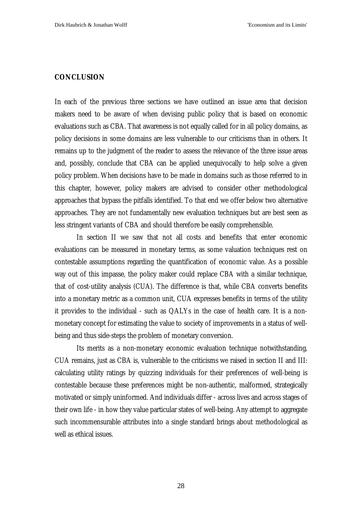## **CONCLUSION**

In each of the previous three sections we have outlined an issue area that decision makers need to be aware of when devising public policy that is based on economic evaluations such as CBA. That awareness is not equally called for in all policy domains, as policy decisions in some domains are less vulnerable to our criticisms than in others. It remains up to the judgment of the reader to assess the relevance of the three issue areas and, possibly, conclude that CBA can be applied unequivocally to help solve a given policy problem. When decisions have to be made in domains such as those referred to in this chapter, however, policy makers are advised to consider other methodological approaches that bypass the pitfalls identified. To that end we offer below two alternative approaches. They are not fundamentally new evaluation techniques but are best seen as less stringent variants of CBA and should therefore be easily comprehensible.

In section II we saw that not all costs and benefits that enter economic evaluations can be measured in monetary terms, as some valuation techniques rest on contestable assumptions regarding the quantification of economic value. As a possible way out of this impasse, the policy maker could replace CBA with a similar technique, that of cost-utility analysis (CUA). The difference is that, while CBA converts benefits into a monetary metric as a common unit, CUA expresses benefits in terms of the utility it provides to the individual - such as QALYs in the case of health care. It is a nonmonetary concept for estimating the value to society of improvements in a status of wellbeing and thus side-steps the problem of monetary conversion.

Its merits as a non-monetary economic evaluation technique notwithstanding, CUA remains, just as CBA is, vulnerable to the criticisms we raised in section II and III: calculating utility ratings by quizzing individuals for their preferences of well-being is contestable because these preferences might be non-authentic, malformed, strategically motivated or simply uninformed. And individuals differ - across lives and across stages of their own life - in how they value particular states of well-being. Any attempt to aggregate such incommensurable attributes into a single standard brings about methodological as well as ethical issues.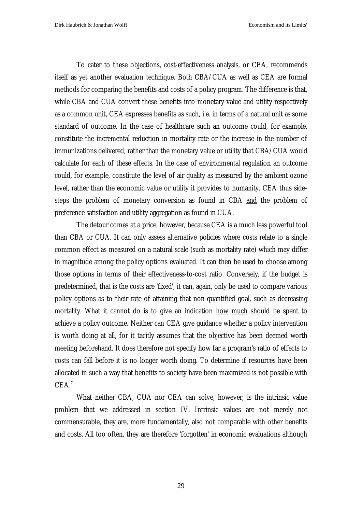To cater to these objections, cost-effectiveness analysis, or CEA, recommends itself as yet another evaluation technique. Both CBA/CUA as well as CEA are formal methods for comparing the benefits and costs of a policy program. The difference is that, while CBA and CUA convert these benefits into monetary value and utility respectively as a common unit, CEA expresses benefits as such, i.e. in terms of a natural unit as some standard of outcome. In the case of healthcare such an outcome could, for example, constitute the incremental reduction in mortality rate or the increase in the number of immunizations delivered, rather than the monetary value or utility that CBA/CUA would calculate for each of these effects. In the case of environmental regulation an outcome could, for example, constitute the level of air quality as measured by the ambient ozone level, rather than the economic value or utility it provides to humanity. CEA thus sidesteps the problem of monetary conversion as found in CBA and the problem of preference satisfaction and utility aggregation as found in CUA.

The detour comes at a price, however, because CEA is a much less powerful tool than CBA or CUA. It can only assess alternative policies where costs relate to a single common effect as measured on a natural scale (such as mortality rate) which may differ in magnitude among the policy options evaluated. It can then be used to choose among those options in terms of their effectiveness-to-cost ratio. Conversely, if the budget is predetermined, that is the costs are 'fixed', it can, again, only be used to compare various policy options as to their rate of attaining that non-quantified goal, such as decreasing mortality. What it cannot do is to give an indication how much should be spent to achieve a policy outcome. Neither can CEA give guidance whether a policy intervention is worth doing at all, for it tacitly assumes that the objective has been deemed worth meeting beforehand. It does therefore not specify how far a program's ratio of effects to costs can fall before it is no longer worth doing. To determine if resources have been allocated in such a way that benefits to society have been maximized is not possible with  $CEA.<sup>7</sup>$ 

What neither CBA, CUA nor CEA can solve, however, is the intrinsic value problem that we addressed in section IV. Intrinsic values are not merely not commensurable, they are, more fundamentally, also not comparable with other benefits and costs. All too often, they are therefore 'forgotten' in economic evaluations although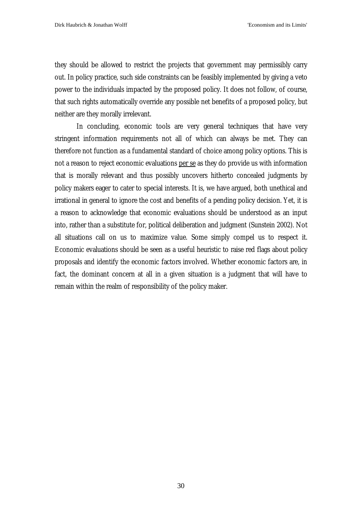they should be allowed to restrict the projects that government may permissibly carry out. In policy practice, such side constraints can be feasibly implemented by giving a veto power to the individuals impacted by the proposed policy. It does not follow, of course, that such rights automatically override any possible net benefits of a proposed policy, but neither are they morally irrelevant.

In concluding, economic tools are very general techniques that have very stringent information requirements not all of which can always be met. They can therefore not function as a fundamental standard of choice among policy options. This is not a reason to reject economic evaluations per se as they do provide us with information that is morally relevant and thus possibly uncovers hitherto concealed judgments by policy makers eager to cater to special interests. It is, we have argued, both unethical and irrational in general to ignore the cost and benefits of a pending policy decision. Yet, it is a reason to acknowledge that economic evaluations should be understood as an input into, rather than a substitute for, political deliberation and judgment (Sunstein 2002). Not all situations call on us to maximize value. Some simply compel us to respect it. Economic evaluations should be seen as a useful heuristic to raise red flags about policy proposals and identify the economic factors involved. Whether economic factors are, in fact, the dominant concern at all in a given situation is a judgment that will have to remain within the realm of responsibility of the policy maker.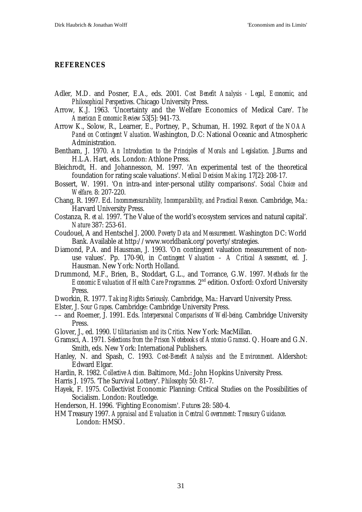#### **REFERENCES**

- Adler, M.D. and Posner, E.A., eds. 2001. *Cost Benefit Analysis Legal, Economic, and Philosophical Perspectives*. Chicago University Press.
- Arrow, K.J. 1963. 'Uncertainty and the Welfare Economics of Medical Care'. *The American Economic Review* 53[5]: 941-73.
- Arrow K., Solow, R., Learner, E., Portney, P., Schuman, H. 1992. *Report of the NOAA Panel on Contingent Valuation*. Washington, D.C: National Oceanic and Atmospheric Administration.
- Bentham, J. 1970. *An Introduction to the Principles of Morals and Legislation.* J.Burns and H.L.A. Hart, eds. London: Athlone Press.
- Bleichrodt, H. and Johannesson, M. 1997. 'An experimental test of the theoretical foundation for rating scale valuations'. *Medical Decision Making*. 17[2]: 208-17.
- Bossert, W. 1991. 'On intra-and inter-personal utility comparisons'. *Social Choice and Welfare*. 8: 207-220.
- Chang, R. 1997. Ed. *Incommensurability, Incomparability, and Practical Reason.* Cambridge, Ma.: Harvard University Press.
- Costanza, R. *et al.* 1997. 'The Value of the world's ecosystem services and natural capital'. *Nature* 387: 253-61.
- Coudouel, A and Hentschel J. 2000. *Poverty Data and Measurement.* Washington DC: World Bank. Available at http://www.worldbank.org/poverty/strategies.
- Diamond, P.A. and Hausman, J. 1993. 'On contingent valuation measurement of nonuse values'. Pp. 170-90, in *Contingent Valuation – A Critical Assessment, ed.* J. Hausman. New York: North Holland.
- Drummond, M.F., Brien, B., Stoddart, G.L., and Torrance, G.W. 1997. *Methods for the Economic Evaluation of Health Care Programmes.*  $2<sup>nd</sup>$  edition. Oxford: Oxford University Press.
- Dworkin, R. 1977. *Taking Rights Seriously.* Cambridge, Ma.: Harvard University Press.
- Elster, J. *Sour Grapes*. Cambridge: Cambridge University Press.
- –– and Roemer, J. 1991. Eds. *Interpersonal Comparisons of Well-being*. Cambridge University Press.
- Glover, J., ed. 1990. *Utilitarianism and its Critics.* New York: MacMillan.
- Gramsci, A. 1971. *Selections from the Prison Notebooks of Antonio Gramsci*. Q. Hoare and G.N. Smith, eds. New York: International Publishers.
- Hanley, N. and Spash, C. 1993. *Cost-Benefit Analysis and the Environment*. Aldershot: Edward Elgar.
- Hardin, R. 1982. *Collective Action.* Baltimore, Md.: John Hopkins University Press.
- Harris J. 1975. 'The Survival Lottery'. *Philosophy* 50: 81-7.
- Hayek, F. 1975. Collectivist Economic Planning: Critical Studies on the Possibilities of Socialism. London: Routledge.
- Henderson, H. 1996. 'Fighting Economism'. *Futures* 28: 580-4.
- HM Treasury 1997. *Appraisal and Evaluation in Central Government: Treasury Guidance*. London: HMSO.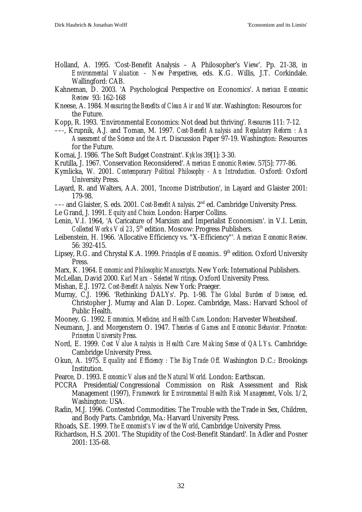- Holland, A. 1995. 'Cost-Benefit Analysis A Philosopher's View'. Pp. 21-38, in *Environmental Valuation – New Perspectives*, eds. K.G. Willis, J.T. Corkindale. Wallingford: CAB.
- Kahneman, D. 2003. 'A Psychological Perspective on Economics'. *American Economic Review* 93: 162-168
- Kneese, A. 1984. *Measuring the Benefits of Clean Air and Water*. Washington: Resources for the Future.
- Kopp, R. 1993. 'Environmental Economics: Not dead but thriving'. *Resources* 111: 7-12.
- ––-, Krupnik, A.J. and Toman, M. 1997. *Cost-Benefit Analysis and Regulatory Reform : An Assessment of the Science and the Art.* Discussion Paper 97-19. Washington: Resources for the Future.
- Kornai, J. 1986. 'The Soft Budget Constraint'. *Kyklos* 39[1]: 3-30.
- Krutilla, J. 1967. 'Conservation Reconsidered'. *American Economic Review*. 57[5]: 777-86.
- Kymlicka, W. 2001. *Contemporary Political Philosophy An Introduction.* Oxford: Oxford University Press.
- Layard, R. and Walters, A.A. 2001, 'Income Distribution', in Layard and Glaister 2001: 179-98.
- ––- and Glaister, S. eds. 2001. *Cost-Benefit Analysis*. 2nd ed. Cambridge University Press.
- Le Grand, J. 1991. *Equity and Choice*. London: Harper Collins.
- Lenin, V.I. 1964, 'A Caricature of Marxism and Imperialist Economism'. in V.I. Lenin, Collected Works Vol 23, 5<sup>th</sup> edition. Moscow: Progress Publishers.
- Leibenstein, H. 1966. 'Allocative Efficiency vs. "X-Efficiency"'*. American Economic Review*. 56: 392-415.
- Lipsey, R.G. and Chrystal K.A. 1999. Principles of Economics.. 9<sup>th</sup> edition. Oxford University Press.
- Marx, K. 1964. *Economic and Philosophic Manuscripts*. New York: International Publishers.
- McLellan, David 2000. *Karl Marx Selected Writings*. Oxford University Press.
- Mishan, E.J. 1972. *Cost-Benefit Analysis.* New York: Praeger.
- Murray, C.J. 1996. 'Rethinking DALYs'. Pp. 1-98. *The Global Burden of Disease*, ed. Christopher J. Murray and Alan D. Lopez. Cambridge, Mass.: Harvard School of Public Health.
- Mooney, G. 1992. *Economics, Medicine, and Health Care*. London: Harvester Wheatsheaf.
- Neumann, J. and Morgenstern O. 1947. *Theories of Games and Economic Behavior. Princeton: Princeton University Press.*
- Nord, E. 1999. *Cost Value Analysis in Health Care: Making Sense of QALYs*. Cambridge: Cambridge University Press.
- Okun, A. 1975. *Equality and Efficiency : The Big Trade Off.* Washington D.C.: Brookings Institution.
- Pearce, D. 1993. *Economic Values and the Natural World.* London: Earthscan.
- PCCRA Presidential/Congressional Commission on Risk Assessment and Risk Management (1997), *Framework for Environmental Health Risk Management*, Vols. 1/2, Washington: USA.
- Radin, M.J. 1996. Contested Commodities: The Trouble with the Trade in Sex, Children, and Body Parts. Cambridge, Ma.: Harvard University Press.
- Rhoads, S.E. 1999. *The Economist's View of the World*, Cambridge University Press.
- Richardson, H.S. 2001. 'The Stupidity of the Cost-Benefit Standard'*.* In Adler and Posner 2001: 135-68.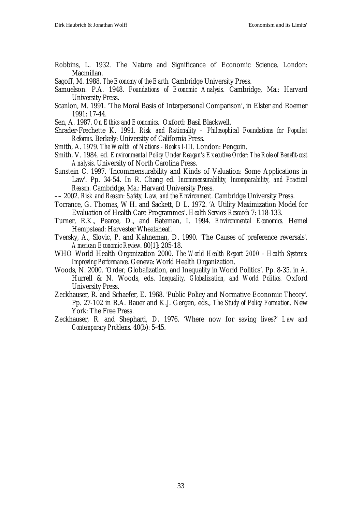- Robbins, L. 1932. The Nature and Significance of Economic Science. London: Macmillan.
- Sagoff, M. 1988. *The Economy of the Earth.* Cambridge University Press.
- Samuelson. P.A. 1948. *Foundations of Economic Analysis*. Cambridge, Ma.: Harvard University Press.
- Scanlon, M. 1991. 'The Moral Basis of Interpersonal Comparison', in Elster and Roemer 1991: 17-44.
- Sen, A. 1987. *On Ethics and Economics..* Oxford: Basil Blackwell.
- Shrader-Frechette K. 1991. *Risk and Rationality Philosophical Foundations for Populist Reforms*. Berkely: University of California Press.
- Smith, A. 1979. *The Wealth of Nations Books I-III*. London: Penguin.
- Smith, V. 1984. ed. *Environmental Policy Under Reagan's Executive Order: The Role of Benefit-cost Analysis*. University of North Carolina Press.
- Sunstein C. 1997. 'Incommensurability and Kinds of Valuation: Some Applications in Law'. Pp. 34-54. In R. Chang ed. *Incommensurability, Incomparability, and Practical Reason.* Cambridge, Ma.: Harvard University Press.
- –– 2002. *Risk and Reason: Safety, Law, and the Environment*. Cambridge University Press.
- Torrance, G. Thomas, W H. and Sackett, D L. 1972. 'A Utility Maximization Model for Evaluation of Health Care Programmes'. *Health Services Research* 7: 118-133.
- Turner, R.K., Pearce, D., and Bateman, I. 1994. *Environmental Economics.* Hemel Hempstead: Harvester Wheatsheaf.
- Tversky, A., Slovic, P. and Kahneman, D. 1990. 'The Causes of preference reversals'. *American Economic Review*. 80[1]: 205-18.
- WHO World Health Organization 2000. *The World Health Report 2000 Health Systems: Improving Performance*. Geneva: World Health Organization.
- Woods, N. 2000. 'Order, Globalization, and Inequality in World Politics'. Pp. 8-35. in A. Hurrell & N. Woods, eds. *Inequality, Globalization, and World Politics.* Oxford University Press.
- Zeckhauser, R. and Schaefer, E. 1968. 'Public Policy and Normative Economic Theory'. Pp. 27-102 in R.A. Bauer and K.J. Gergen, eds., *The Study of Policy Formation.* New York: The Free Press.
- Zeckhauser, R. and Shephard, D. 1976. 'Where now for saving lives?' *Law and Contemporary Problems.* 40(b): 5-45.